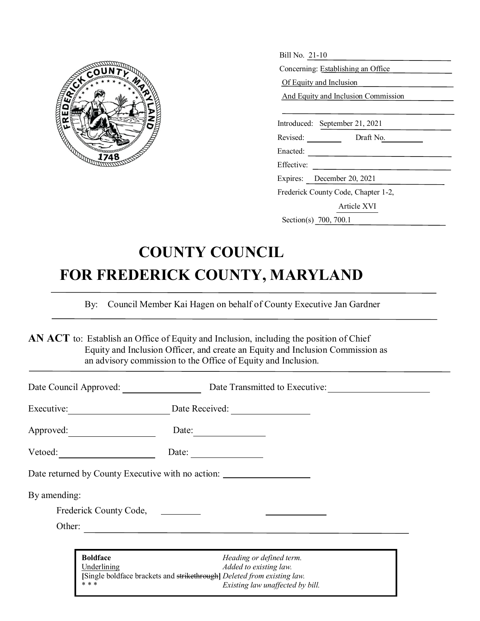

| Bill No. 21-10                      |  |  |  |
|-------------------------------------|--|--|--|
| Concerning: Establishing an Office  |  |  |  |
| Of Equity and Inclusion             |  |  |  |
| And Equity and Inclusion Commission |  |  |  |
|                                     |  |  |  |
| Introduced: September 21, 2021      |  |  |  |
| Revised: Draft No.                  |  |  |  |
| Enacted:                            |  |  |  |
| Effective:                          |  |  |  |
| Expires: December 20, 2021          |  |  |  |
| Frederick County Code, Chapter 1-2, |  |  |  |
| Article XVI                         |  |  |  |
| Section(s) 700, 700.1               |  |  |  |

# **COUNTY COUNCIL FOR FREDERICK COUNTY, MARYLAND**

By: Council Member Kai Hagen on behalf of County Executive Jan Gardner

AN ACT to: Establish an Office of Equity and Inclusion, including the position of Chief Equity and Inclusion Officer, and create an Equity and Inclusion Commission as an advisory commission to the Office of Equity and Inclusion.

| Date Council Approved: |                                                                                                 | Date Transmitted to Executive:                             |
|------------------------|-------------------------------------------------------------------------------------------------|------------------------------------------------------------|
| Executive:             | Date Received:                                                                                  |                                                            |
| Approved:              | Date:                                                                                           |                                                            |
| Vetoed:                | Date:                                                                                           |                                                            |
|                        | Date returned by County Executive with no action:                                               |                                                            |
| By amending:           |                                                                                                 |                                                            |
|                        | Frederick County Code, _________                                                                |                                                            |
| Other:                 |                                                                                                 |                                                            |
|                        |                                                                                                 |                                                            |
|                        | <b>Boldface</b>                                                                                 | Heading or defined term.                                   |
|                        | Underlining<br>[Single boldface brackets and strikethrough] Deleted from existing law.<br>* * * | Added to existing law.<br>Existing law unaffected by bill. |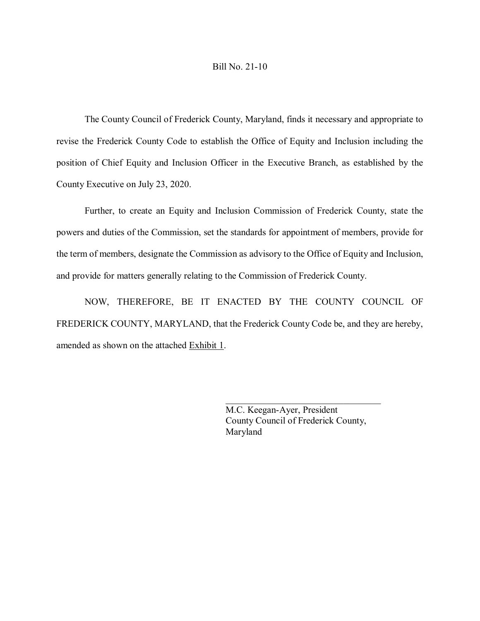#### Bill No. 21-10

The County Council of Frederick County, Maryland, finds it necessary and appropriate to revise the Frederick County Code to establish the Office of Equity and Inclusion including the position of Chief Equity and Inclusion Officer in the Executive Branch, as established by the County Executive on July 23, 2020.

Further, to create an Equity and Inclusion Commission of Frederick County, state the powers and duties of the Commission, set the standards for appointment of members, provide for the term of members, designate the Commission as advisory to the Office of Equity and Inclusion, and provide for matters generally relating to the Commission of Frederick County.

NOW, THEREFORE, BE IT ENACTED BY THE COUNTY COUNCIL OF FREDERICK COUNTY, MARYLAND, that the Frederick County Code be, and they are hereby, amended as shown on the attached Exhibit 1.

> M.C. Keegan-Ayer, President County Council of Frederick County, Maryland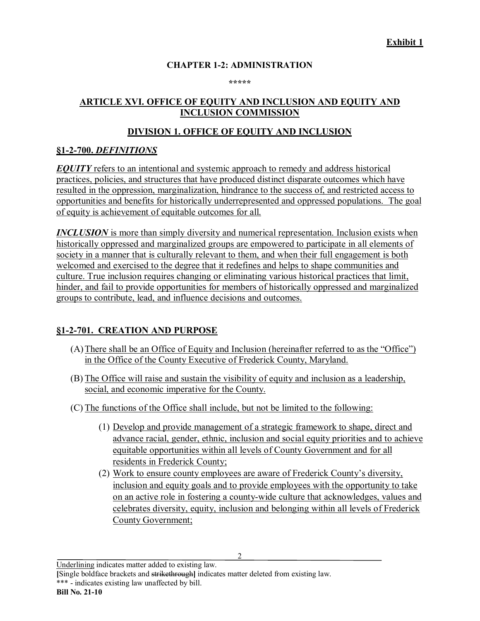## **CHAPTER 1-2: ADMINISTRATION**

**\*\*\*\*\***

#### **ARTICLE XVI. OFFICE OF EQUITY AND INCLUSION AND EQUITY AND INCLUSION COMMISSION**

## **DIVISION 1. OFFICE OF EQUITY AND INCLUSION**

## **§1-2-700.** *DEFINITIONS*

*EQUITY* refers to an intentional and systemic approach to remedy and address historical practices, policies, and structures that have produced distinct disparate outcomes which have resulted in the oppression, marginalization, hindrance to the success of, and restricted access to opportunities and benefits for historically underrepresented and oppressed populations. The goal of equity is achievement of equitable outcomes for all.

*INCLUSION* is more than simply diversity and numerical representation. Inclusion exists when historically oppressed and marginalized groups are empowered to participate in all elements of society in a manner that is culturally relevant to them, and when their full engagement is both welcomed and exercised to the degree that it redefines and helps to shape communities and culture. True inclusion requires changing or eliminating various historical practices that limit, hinder, and fail to provide opportunities for members of historically oppressed and marginalized groups to contribute, lead, and influence decisions and outcomes.

## **§1-2-701. CREATION AND PURPOSE**

- (A)There shall be an Office of Equity and Inclusion (hereinafter referred to as the "Office") in the Office of the County Executive of Frederick County, Maryland.
- (B) The Office will raise and sustain the visibility of equity and inclusion as a leadership, social, and economic imperative for the County.
- (C) The functions of the Office shall include, but not be limited to the following:
	- (1) Develop and provide management of a strategic framework to shape, direct and advance racial, gender, ethnic, inclusion and social equity priorities and to achieve equitable opportunities within all levels of County Government and for all residents in Frederick County;
	- (2) Work to ensure county employees are aware of Frederick County's diversity, inclusion and equity goals and to provide employees with the opportunity to take on an active role in fostering a county-wide culture that acknowledges, values and celebrates diversity, equity, inclusion and belonging within all levels of Frederick County Government;

2

Underlining indicates matter added to existing law.

**[**Single boldface brackets and strikethrough**]** indicates matter deleted from existing law. \*\*\* - indicates existing law unaffected by bill.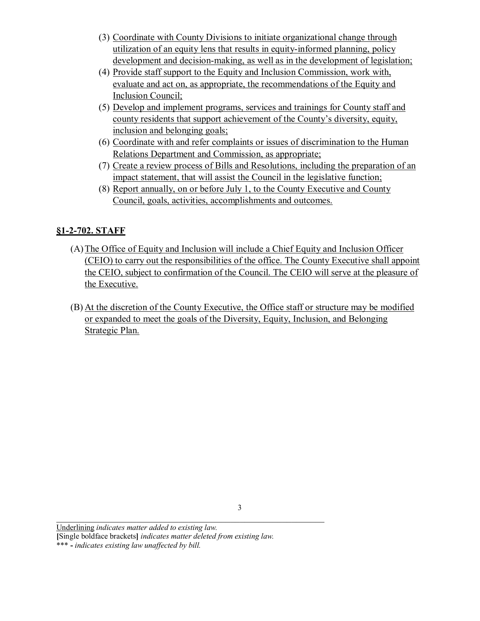- (3) Coordinate with County Divisions to initiate organizational change through utilization of an equity lens that results in equity-informed planning, policy development and decision-making, as well as in the development of legislation;
- (4) Provide staff support to the Equity and Inclusion Commission, work with, evaluate and act on, as appropriate, the recommendations of the Equity and Inclusion Council;
- (5) Develop and implement programs, services and trainings for County staff and county residents that support achievement of the County's diversity, equity, inclusion and belonging goals;
- (6) Coordinate with and refer complaints or issues of discrimination to the Human Relations Department and Commission, as appropriate;
- (7) Create a review process of Bills and Resolutions, including the preparation of an impact statement, that will assist the Council in the legislative function;
- (8) Report annually, on or before July 1, to the County Executive and County Council, goals, activities, accomplishments and outcomes.

## **§1-2-702. STAFF**

- (A)The Office of Equity and Inclusion will include a Chief Equity and Inclusion Officer (CEIO) to carry out the responsibilities of the office. The County Executive shall appoint the CEIO, subject to confirmation of the Council. The CEIO will serve at the pleasure of the Executive.
- (B) At the discretion of the County Executive, the Office staff or structure may be modified or expanded to meet the goals of the Diversity, Equity, Inclusion, and Belonging Strategic Plan.

Underlining *indicates matter added to existing law.* **[**Single boldface brackets**]** *indicates matter deleted from existing law.* \*\*\* **-** *indicates existing law unaffected by bill.*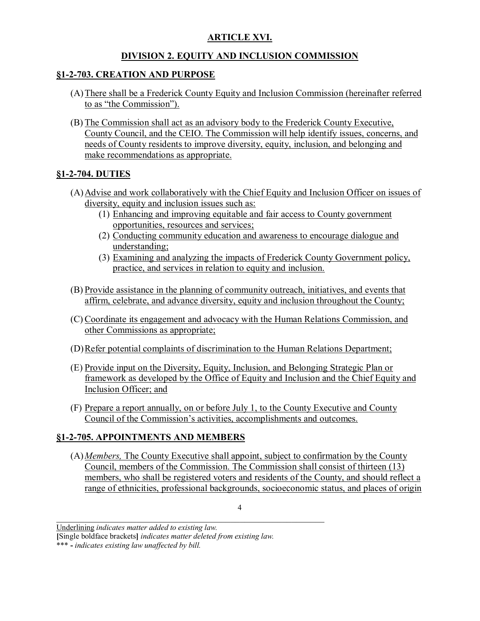## **ARTICLE XVI.**

## **DIVISION 2. EQUITY AND INCLUSION COMMISSION**

## **§1-2-703. CREATION AND PURPOSE**

- (A)There shall be a Frederick County Equity and Inclusion Commission (hereinafter referred to as "the Commission").
- (B) The Commission shall act as an advisory body to the Frederick County Executive, County Council, and the CEIO. The Commission will help identify issues, concerns, and needs of County residents to improve diversity, equity, inclusion, and belonging and make recommendations as appropriate.

## **§1-2-704. DUTIES**

- (A)Advise and work collaboratively with the Chief Equity and Inclusion Officer on issues of diversity, equity and inclusion issues such as:
	- (1) Enhancing and improving equitable and fair access to County government opportunities, resources and services;
	- (2) Conducting community education and awareness to encourage dialogue and understanding;
	- (3) Examining and analyzing the impacts of Frederick County Government policy, practice, and services in relation to equity and inclusion.
- (B) Provide assistance in the planning of community outreach, initiatives, and events that affirm, celebrate, and advance diversity, equity and inclusion throughout the County;
- (C) Coordinate its engagement and advocacy with the Human Relations Commission, and other Commissions as appropriate;
- (D)Refer potential complaints of discrimination to the Human Relations Department;
- (E) Provide input on the Diversity, Equity, Inclusion, and Belonging Strategic Plan or framework as developed by the Office of Equity and Inclusion and the Chief Equity and Inclusion Officer; and
- (F) Prepare a report annually, on or before July 1, to the County Executive and County Council of the Commission's activities, accomplishments and outcomes.

## **§1-2-705. APPOINTMENTS AND MEMBERS**

(A)*Members,* The County Executive shall appoint, subject to confirmation by the County Council, members of the Commission. The Commission shall consist of thirteen (13) members, who shall be registered voters and residents of the County, and should reflect a range of ethnicities, professional backgrounds, socioeconomic status, and places of origin

4

Underlining *indicates matter added to existing law.*

**<sup>[</sup>**Single boldface brackets**]** *indicates matter deleted from existing law.*

<sup>\*\*\*</sup> **-** *indicates existing law unaffected by bill.*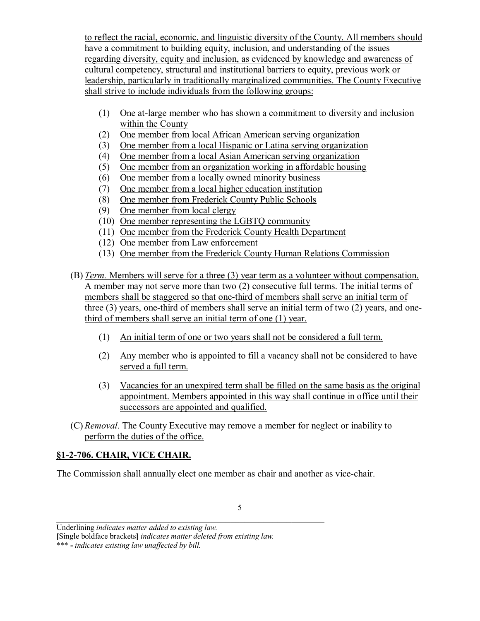to reflect the racial, economic, and linguistic diversity of the County. All members should have a commitment to building equity, inclusion, and understanding of the issues regarding diversity, equity and inclusion, as evidenced by knowledge and awareness of cultural competency, structural and institutional barriers to equity, previous work or leadership, particularly in traditionally marginalized communities. The County Executive shall strive to include individuals from the following groups:

- (1) One at-large member who has shown a commitment to diversity and inclusion within the County
- (2) One member from local African American serving organization
- (3) One member from a local Hispanic or Latina serving organization
- (4) One member from a local Asian American serving organization
- (5) One member from an organization working in affordable housing
- (6) One member from a locally owned minority business
- (7) One member from a local higher education institution
- (8) One member from Frederick County Public Schools
- (9) One member from local clergy
- (10) One member representing the LGBTQ community
- (11) One member from the Frederick County Health Department
- (12) One member from Law enforcement
- (13) One member from the Frederick County Human Relations Commission
- (B) *Term.* Members will serve for a three (3) year term as a volunteer without compensation. A member may not serve more than two (2) consecutive full terms. The initial terms of members shall be staggered so that one-third of members shall serve an initial term of three (3) years, one-third of members shall serve an initial term of two (2) years, and onethird of members shall serve an initial term of one (1) year.
	- (1) An initial term of one or two years shall not be considered a full term.
	- (2) Any member who is appointed to fill a vacancy shall not be considered to have served a full term.
	- (3) Vacancies for an unexpired term shall be filled on the same basis as the original appointment. Members appointed in this way shall continue in office until their successors are appointed and qualified.
- (C) *Removal*. The County Executive may remove a member for neglect or inability to perform the duties of the office.

## **§1-2-706. CHAIR, VICE CHAIR.**

The Commission shall annually elect one member as chair and another as vice-chair.

Underlining *indicates matter added to existing law.*

**<sup>[</sup>**Single boldface brackets**]** *indicates matter deleted from existing law.*

<sup>\*\*\*</sup> **-** *indicates existing law unaffected by bill.*